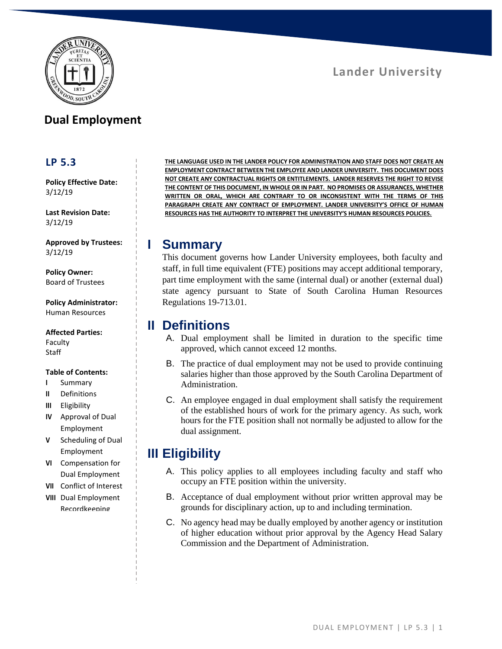

# **Dual Employment**

#### **LP 5.3**

**Policy Effective Date:** 3/12/19

**Last Revision Date:** 3/12/19

**Approved by Trustees:** 3/12/19

**Policy Owner:** Board of Trustees

**Policy Administrator:** Human Resources

#### **Affected Parties:**

Faculty **Staff** 

#### **Table of Contents:**

- **I** Summary
- **II** Definitions
- **III** Eligibility
- **IV** Approval of Dual Employment
- **V** Scheduling of Dual Employment
- **VI** Compensation for Dual Employment
- **VII** Conflict of Interest
- **VIII** Dual Employment Recordkeeping

**THE LANGUAGE USED IN THE LANDER POLICY FOR ADMINISTRATION AND STAFF DOES NOT CREATE AN EMPLOYMENT CONTRACT BETWEEN THE EMPLOYEE AND LANDER UNIVERSITY. THIS DOCUMENT DOES NOT CREATE ANY CONTRACTUAL RIGHTS OR ENTITLEMENTS. LANDER RESERVES THE RIGHT TO REVISE THE CONTENT OF THIS DOCUMENT, IN WHOLE OR IN PART. NO PROMISES OR ASSURANCES, WHETHER WRITTEN OR ORAL, WHICH ARE CONTRARY TO OR INCONSISTENT WITH THE TERMS OF THIS PARAGRAPH CREATE ANY CONTRACT OF EMPLOYMENT. LANDER UNIVERSITY'S OFFICE OF HUMAN RESOURCES HAS THE AUTHORITY TO INTERPRET THE UNIVERSITY'S HUMAN RESOURCES POLICIES.**

### **I Summary**

This document governs how Lander University employees, both faculty and staff, in full time equivalent (FTE) positions may accept additional temporary, part time employment with the same (internal dual) or another (external dual) state agency pursuant to State of South Carolina Human Resources Regulations 19-713.01.

### **II Definitions**

- A. Dual employment shall be limited in duration to the specific time approved, which cannot exceed 12 months.
- B. The practice of dual employment may not be used to provide continuing salaries higher than those approved by the South Carolina Department of Administration.
- C. An employee engaged in dual employment shall satisfy the requirement of the established hours of work for the primary agency. As such, work hours for the FTE position shall not normally be adjusted to allow for the dual assignment.

# **III Eligibility**

- A. This policy applies to all employees including faculty and staff who occupy an FTE position within the university.
- B. Acceptance of dual employment without prior written approval may be grounds for disciplinary action, up to and including termination.
- C. No agency head may be dually employed by another agency or institution of higher education without prior approval by the Agency Head Salary Commission and the Department of Administration.

**Lander University**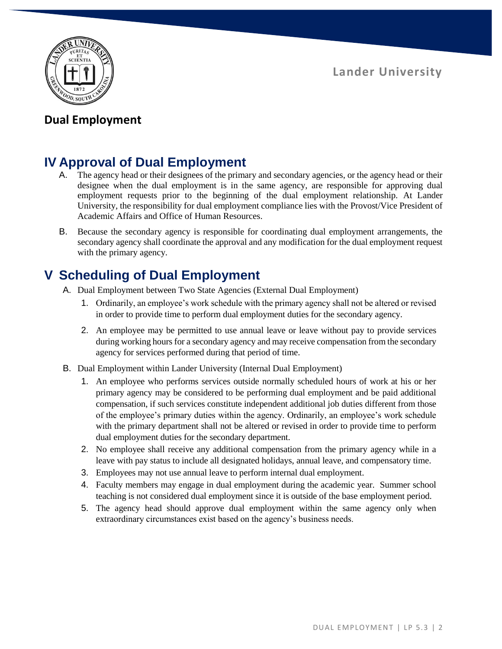**Lander University**



## **Dual Employment**

# **IV Approval of Dual Employment**

- A. The agency head or their designees of the primary and secondary agencies, or the agency head or their designee when the dual employment is in the same agency, are responsible for approving dual employment requests prior to the beginning of the dual employment relationship. At Lander University, the responsibility for dual employment compliance lies with the Provost/Vice President of Academic Affairs and Office of Human Resources.
- B. Because the secondary agency is responsible for coordinating dual employment arrangements, the secondary agency shall coordinate the approval and any modification for the dual employment request with the primary agency.

# **V Scheduling of Dual Employment**

- A. Dual Employment between Two State Agencies (External Dual Employment)
	- 1. Ordinarily, an employee's work schedule with the primary agency shall not be altered or revised in order to provide time to perform dual employment duties for the secondary agency.
	- 2. An employee may be permitted to use annual leave or leave without pay to provide services during working hours for a secondary agency and may receive compensation from the secondary agency for services performed during that period of time.
- B. Dual Employment within Lander University (Internal Dual Employment)
	- 1. An employee who performs services outside normally scheduled hours of work at his or her primary agency may be considered to be performing dual employment and be paid additional compensation, if such services constitute independent additional job duties different from those of the employee's primary duties within the agency. Ordinarily, an employee's work schedule with the primary department shall not be altered or revised in order to provide time to perform dual employment duties for the secondary department.
	- 2. No employee shall receive any additional compensation from the primary agency while in a leave with pay status to include all designated holidays, annual leave, and compensatory time.
	- 3. Employees may not use annual leave to perform internal dual employment.
	- 4. Faculty members may engage in dual employment during the academic year. Summer school teaching is not considered dual employment since it is outside of the base employment period.
	- 5. The agency head should approve dual employment within the same agency only when extraordinary circumstances exist based on the agency's business needs.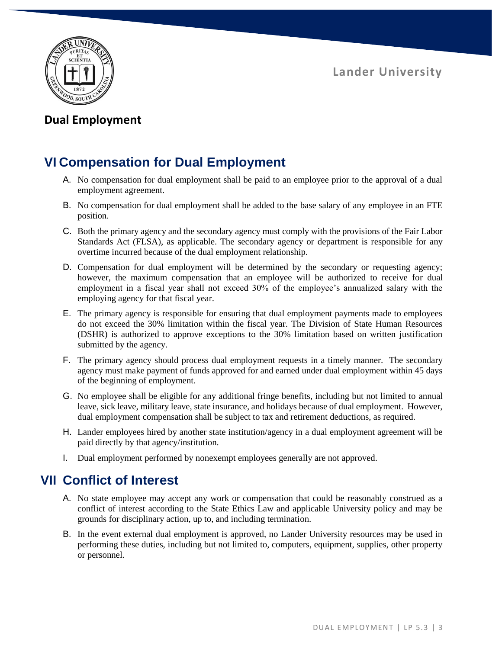**Lander University**



## **Dual Employment**

# **VI Compensation for Dual Employment**

- A. No compensation for dual employment shall be paid to an employee prior to the approval of a dual employment agreement.
- B. No compensation for dual employment shall be added to the base salary of any employee in an FTE position.
- C. Both the primary agency and the secondary agency must comply with the provisions of the Fair Labor Standards Act (FLSA), as applicable. The secondary agency or department is responsible for any overtime incurred because of the dual employment relationship.
- D. Compensation for dual employment will be determined by the secondary or requesting agency; however, the maximum compensation that an employee will be authorized to receive for dual employment in a fiscal year shall not exceed 30% of the employee's annualized salary with the employing agency for that fiscal year.
- E. The primary agency is responsible for ensuring that dual employment payments made to employees do not exceed the 30% limitation within the fiscal year. The Division of State Human Resources (DSHR) is authorized to approve exceptions to the 30% limitation based on written justification submitted by the agency.
- F. The primary agency should process dual employment requests in a timely manner. The secondary agency must make payment of funds approved for and earned under dual employment within 45 days of the beginning of employment.
- G. No employee shall be eligible for any additional fringe benefits, including but not limited to annual leave, sick leave, military leave, state insurance, and holidays because of dual employment. However, dual employment compensation shall be subject to tax and retirement deductions, as required.
- H. Lander employees hired by another state institution/agency in a dual employment agreement will be paid directly by that agency/institution.
- I. Dual employment performed by nonexempt employees generally are not approved.

# **VII Conflict of Interest**

- A. No state employee may accept any work or compensation that could be reasonably construed as a conflict of interest according to the State Ethics Law and applicable University policy and may be grounds for disciplinary action, up to, and including termination.
- B. In the event external dual employment is approved, no Lander University resources may be used in performing these duties, including but not limited to, computers, equipment, supplies, other property or personnel.